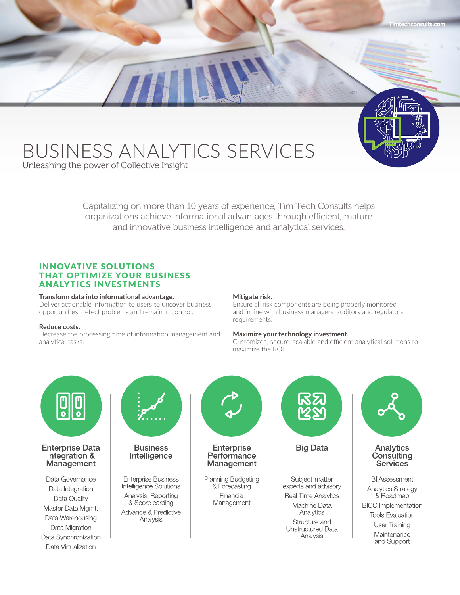# BUSINESS ANALYTICS SERVICES

Unleashing the power of Collective Insight

Capitalizing on more than 10 years of experience, Tim Tech Consults helps organizations achieve informational advantages through efficient, mature and innovative business intelligence and analytical services.

# INNOVATIVE SOLUTIONS THAT OPTIMIZE YOUR BUSINESS ANALYTICS INVESTMENTS

#### **Transform data into informational advantage.**

Deliver actionable information to users to uncover business opportunities, detect problems and remain in control.

## **Reduce costs.**

Decrease the processing time of information management and analytical tasks.

#### **Mitigate risk.**

Ensure all risk components are being properly monitored and in line with business managers, auditors and regulators requirements.

## **Maximize your technology investment.**

Customized, secure, scalable and efficient analytical solutions to maximize the ROI.

**Timtechconsults.com**